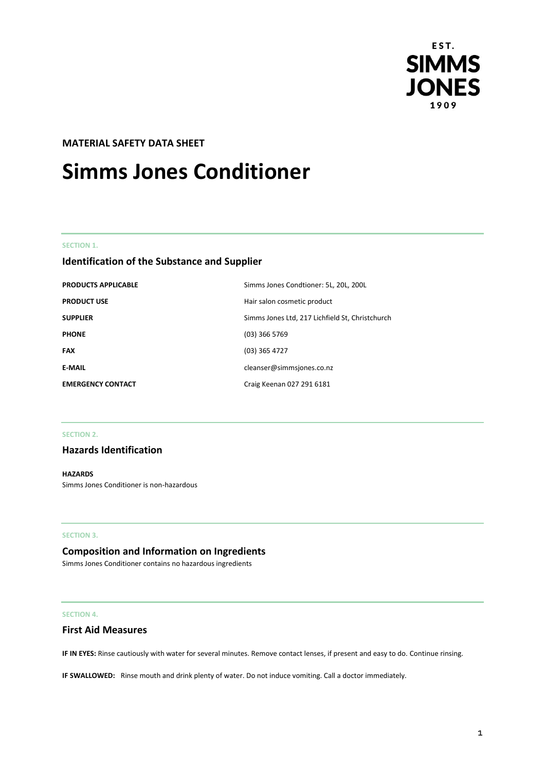

# **MATERIAL SAFETY DATA SHEET**

# **Simms Jones Conditioner**

#### **SECTION 1.**

# **Identification of the Substance and Supplier**

| <b>PRODUCTS APPLICABLE</b> | Simms Jones Condtioner: 5L, 20L, 200L           |
|----------------------------|-------------------------------------------------|
| <b>PRODUCT USE</b>         | Hair salon cosmetic product                     |
| <b>SUPPLIER</b>            | Simms Jones Ltd, 217 Lichfield St, Christchurch |
| <b>PHONE</b>               | $(03)$ 366 5769                                 |
| <b>FAX</b>                 | $(03)$ 365 4727                                 |
| <b>E-MAIL</b>              | cleanser@simmsjones.co.nz                       |
| <b>EMERGENCY CONTACT</b>   | Craig Keenan 027 291 6181                       |

#### **SECTION 2.**

## **Hazards Identification**

**HAZARDS** Simms Jones Conditioner is non-hazardous

#### **SECTION 3.**

## **Composition and Information on Ingredients**

Simms Jones Conditioner contains no hazardous ingredients

#### **SECTION 4.**

# **First Aid Measures**

**IF IN EYES:** Rinse cautiously with water for several minutes. Remove contact lenses, if present and easy to do. Continue rinsing.

**IF SWALLOWED:** Rinse mouth and drink plenty of water. Do not induce vomiting. Call a doctor immediately.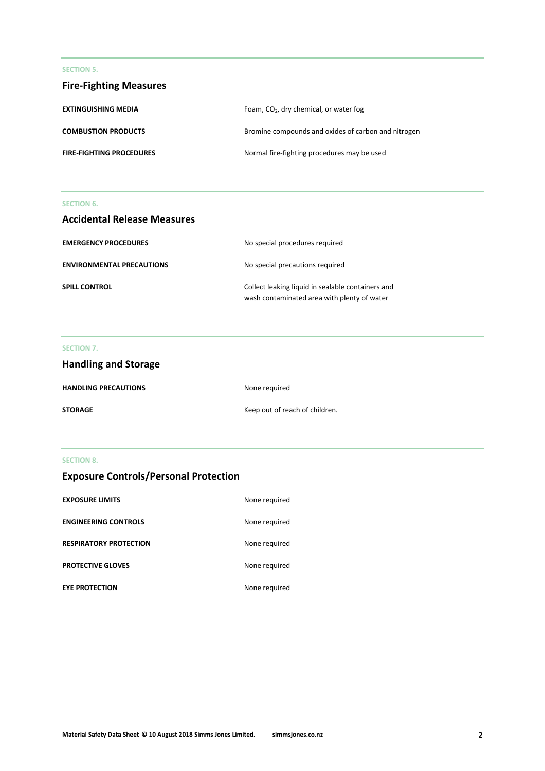#### **SECTION 5.**

| <b>Fire-Fighting Measures</b>   |                                                     |
|---------------------------------|-----------------------------------------------------|
| <b>EXTINGUISHING MEDIA</b>      | Foam, CO <sub>2</sub> , dry chemical, or water fog  |
| <b>COMBUSTION PRODUCTS</b>      | Bromine compounds and oxides of carbon and nitrogen |
| <b>FIRE-FIGHTING PROCEDURES</b> | Normal fire-fighting procedures may be used         |

#### **SECTION 6.**

| <b>Accidental Release Measures</b> |                                                                                                  |
|------------------------------------|--------------------------------------------------------------------------------------------------|
| <b>EMERGENCY PROCEDURES</b>        | No special procedures required                                                                   |
| <b>ENVIRONMENTAL PRECAUTIONS</b>   | No special precautions required                                                                  |
| <b>SPILL CONTROL</b>               | Collect leaking liquid in sealable containers and<br>wash contaminated area with plenty of water |

# **SECTION 7.**

| <b>Handling and Storage</b> |                                |
|-----------------------------|--------------------------------|
| <b>HANDLING PRECAUTIONS</b> | None required                  |
| STORAGE                     | Keep out of reach of children. |

# **SECTION 8.**

| <b>Exposure Controls/Personal Protection</b> |  |  |  |
|----------------------------------------------|--|--|--|
|----------------------------------------------|--|--|--|

| <b>EXPOSURE LIMITS</b>        | None required |
|-------------------------------|---------------|
| <b>ENGINEERING CONTROLS</b>   | None required |
| <b>RESPIRATORY PROTECTION</b> | None required |
| <b>PROTECTIVE GLOVES</b>      | None required |
| <b>EYE PROTECTION</b>         | None required |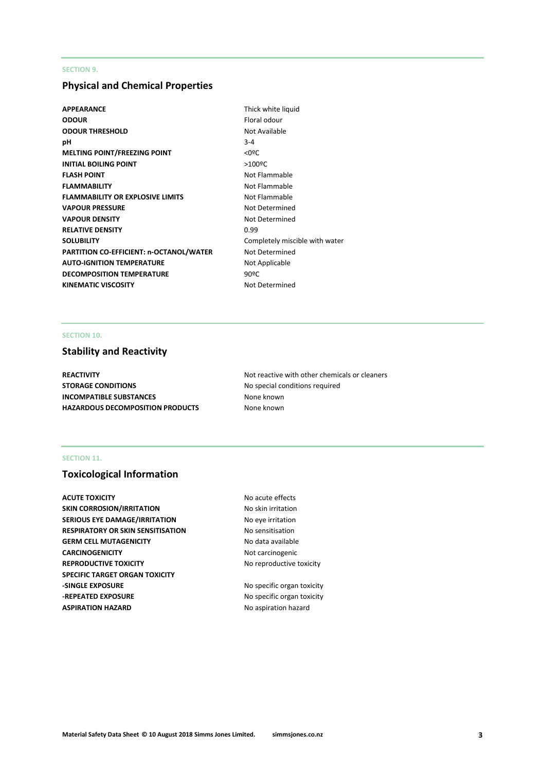#### **SECTION 9.**

# **Physical and Chemical Properties**

- **APPEARANCE** Thick white liquid **ODOUR** Floral odour **ODOUR THRESHOLD** Not Available **pH** 3-4 **MELTING POINT/FREEZING POINT**  $\leq 0$ **<sup>o</sup>C INITIAL BOILING POINT** >100<sup>o</sup>C **FLASH POINT** Not Flammable **FLAMMABILITY** Not Flammable **FLAMMABILITY OR EXPLOSIVE LIMITS** Not Flammable **VAPOUR PRESSURE** Not Determined **VAPOUR DENSITY** Not Determined **RELATIVE DENSITY** 0.99 **SOLUBILITY** Completely miscible with water **PARTITION CO-EFFICIENT: n-OCTANOL/WATER** Not Determined AUTO-IGNITION TEMPERATURE **Not Applicable DECOMPOSITION TEMPERATURE** 90°C KINEMATIC VISCOSITY **Not Determined** 
	-

## **SECTION 10.**

# **Stability and Reactivity**

**STORAGE CONDITIONS** No special conditions required **INCOMPATIBLE SUBSTANCES** None known **HAZARDOUS DECOMPOSITION PRODUCTS** None known

**REACTIVITY Not reactive with other chemicals or cleaners Not reactive with other chemicals or cleaners** 

## **SECTION 11.**

# **Toxicological Information**

**ACUTE TOXICITY** ACUTE **TOXICITY** ACUTE **NO** acute effects **SKIN CORROSION/IRRITATION** No skin irritation **SERIOUS EYE DAMAGE/IRRITATION** No eye irritation **RESPIRATORY OR SKIN SENSITISATION No sensitisation GERM CELL MUTAGENICITY** No data available **CARCINOGENICITY** Not carcinogenic **REPRODUCTIVE TOXICITY No reproductive toxicity SPECIFIC TARGET ORGAN TOXICITY -SINGLE EXPOSURE** No specific organ toxicity **-REPEATED EXPOSURE** No specific organ toxicity **ASPIRATION HAZARD No aspiration hazard No aspiration hazard**